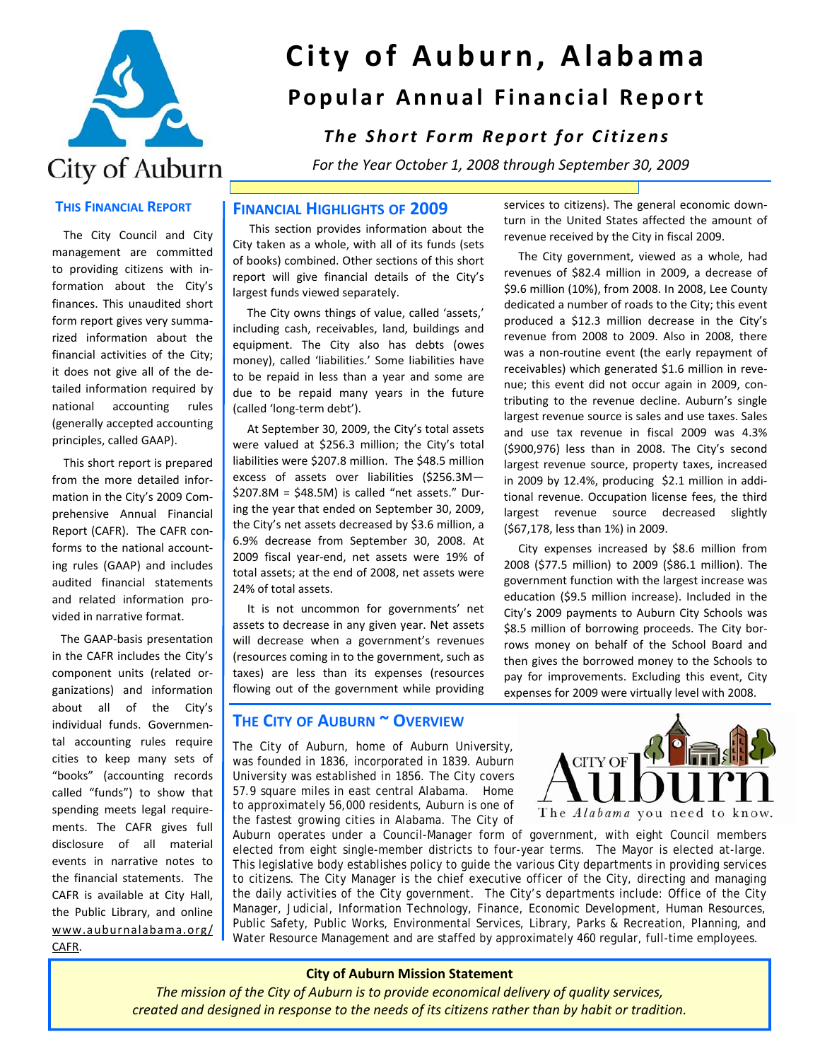

# **City of Auburn, Alabama Popular Annual Financial Report**

## *The Short Form Report for Citizens*

 *For the Year October 1, 2008 through September 30, 2009*

#### **THIS FINANCIAL REPORT**

 The City Council and City management are committed to providing citizens with in‐ formation about the City's finances. This unaudited short form report gives very summa‐ rized information about the financial activities of the City; it does not give all of the de‐ tailed information required by national accounting rules (generally accepted accounting principles, called GAAP).

 This short report is prepared from the more detailed infor‐ mation in the City's 2009 Com‐ prehensive Annual Financial Report (CAFR). The CAFR con‐ forms to the national account‐ ing rules (GAAP) and includes audited financial statements and related information pro‐ vided in narrative format.

 The GAAP‐basis presentation in the CAFR includes the City's component units (related or‐ ganizations) and information about all of the City's individual funds. Governmen‐ tal accounting rules require cities to keep many sets of "books" (accounting records called "funds") to show that spending meets legal require‐ ments. The CAFR gives full disclosure of all material events in narrative notes to the financial statements. The CAFR is available at City Hall, the Public Library, and online www.auburnalabama.org/ CAFR.

#### **FINANCIAL HIGHLIGHTS OF 2009**

 This section provides information about the City taken as a whole, with all of its funds (sets of books) combined. Other sections of this short report will give financial details of the City's largest funds viewed separately.

 The City owns things of value, called 'assets,' including cash, receivables, land, buildings and equipment. The City also has debts (owes money), called 'liabilities.' Some liabilities have to be repaid in less than a year and some are due to be repaid many years in the future (called 'long‐term debt').

 At September 30, 2009, the City's total assets were valued at \$256.3 million; the City's total liabilities were \$207.8 million. The \$48.5 million excess of assets over liabilities (\$256.3M— \$207.8M = \$48.5M) is called "net assets." Dur‐ ing the year that ended on September 30, 2009, the City's net assets decreased by \$3.6 million, a 6.9% decrease from September 30, 2008. At 2009 fiscal year‐end, net assets were 19% of total assets; at the end of 2008, net assets were 24% of total assets.

 It is not uncommon for governments' net assets to decrease in any given year. Net assets will decrease when a government's revenues (resources coming in to the government, such as taxes) are less than its expenses (resources flowing out of the government while providing

#### **THE CITY OF AUBURN ~ OVERVIEW**

The City of Auburn, home of Auburn University, was founded in 1836, incorporated in 1839. Auburn University was established in 1856. The City covers 57.9 square miles in east central Alabama. Home to approximately 56,000 residents, Auburn is one of the fastest growing cities in Alabama. The City of

services to citizens). The general economic down‐ turn in the United States affected the amount of revenue received by the City in fiscal 2009.

 The City government, viewed as a whole, had revenues of \$82.4 million in 2009, a decrease of \$9.6 million (10%), from 2008. In 2008, Lee County dedicated a number of roads to the City; this event produced a \$12.3 million decrease in the City's revenue from 2008 to 2009. Also in 2008, there was a non-routine event (the early repayment of receivables) which generated \$1.6 million in reve‐ nue; this event did not occur again in 2009, con‐ tributing to the revenue decline. Auburn's single largest revenue source is sales and use taxes. Sales and use tax revenue in fiscal 2009 was 4.3% (\$900,976) less than in 2008. The City's second largest revenue source, property taxes, increased in 2009 by 12.4%, producing \$2.1 million in additional revenue. Occupation license fees, the third largest revenue source decreased slightly (\$67,178, less than 1%) in 2009.

 City expenses increased by \$8.6 million from 2008 (\$77.5 million) to 2009 (\$86.1 million). The government function with the largest increase was education (\$9.5 million increase). Included in the City's 2009 payments to Auburn City Schools was \$8.5 million of borrowing proceeds. The City borrows money on behalf of the School Board and then gives the borrowed money to the Schools to pay for improvements. Excluding this event, City expenses for 2009 were virtually level with 2008.



Auburn operates under a Council-Manager form of government, with eight Council members elected from eight single-member districts to four-year terms. The Mayor is elected at-large. This legislative body establishes policy to guide the various City departments in providing services to citizens. The City Manager is the chief executive officer of the City, directing and managing the daily activities of the City government. The City's departments include: Office of the City Manager, Judicial, Information Technology, Finance, Economic Development, Human Resources, Public Safety, Public Works, Environmental Services, Library, Parks & Recreation, Planning, and Water Resource Management and are staffed by approximately 460 regular, full-time employees.

#### **City of Auburn Mission Statement**

*The mission of the City of Auburn is to provide economical delivery of quality services, created and designed in response to the needs of its citizens rather than by habit or tradition.*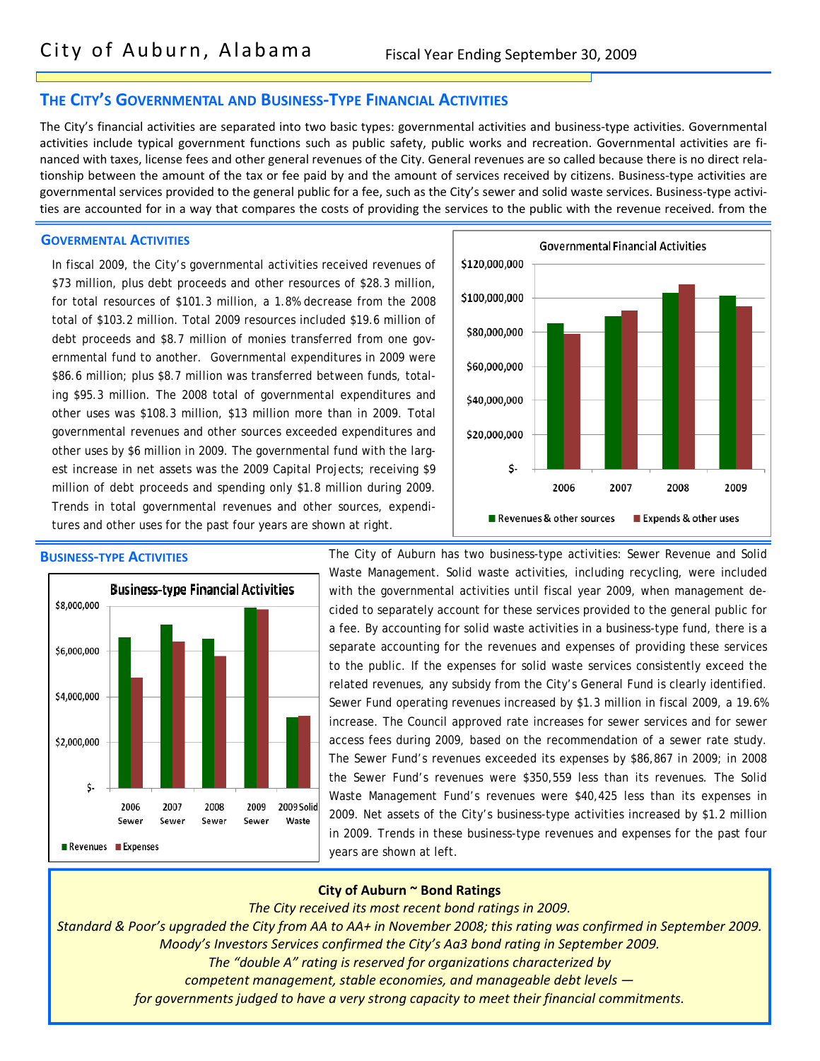#### **THE CITY'S GOVERNMENTAL AND BUSINESS‐TYPE FINANCIAL ACTIVITIES**

The City's financial activities are separated into two basic types: governmental activities and business‐type activities. Governmental activities include typical government functions such as public safety, public works and recreation. Governmental activities are financed with taxes, license fees and other general revenues of the City. General revenues are so called because there is no direct rela‐ tionship between the amount of the tax or fee paid by and the amount of services received by citizens. Business‐type activities are governmental services provided to the general public for a fee, such as the City's sewer and solid waste services. Business-type activities are accounted for in a way that compares the costs of providing the services to the public with the revenue received. from the

#### **GOVERMENTAL ACTIVITIES**

In fiscal 2009, the City's governmental activities received revenues of \$73 million, plus debt proceeds and other resources of \$28.3 million, for total resources of \$101.3 million, a 1.8% decrease from the 2008 total of \$103.2 million. Total 2009 resources included \$19.6 million of debt proceeds and \$8.7 million of monies transferred from one governmental fund to another. Governmental expenditures in 2009 were \$86.6 million; plus \$8.7 million was transferred between funds, totaling \$95.3 million. The 2008 total of governmental expenditures and other uses was \$108.3 million, \$13 million more than in 2009. Total governmental revenues and other sources exceeded expenditures and other uses by \$6 million in 2009. The governmental fund with the largest increase in net assets was the 2009 Capital Projects; receiving \$9 million of debt proceeds and spending only \$1.8 million during 2009. Trends in total governmental revenues and other sources, expenditures and other uses for the past four years are shown at right.



#### **BUSINESS‐TYPE ACTIVITIES**



The City of Auburn has two business-type activities: Sewer Revenue and Solid Waste Management. Solid waste activities, including recycling, were included with the governmental activities until fiscal year 2009, when management decided to separately account for these services provided to the general public for a fee. By accounting for solid waste activities in a business-type fund, there is a separate accounting for the revenues and expenses of providing these services to the public. If the expenses for solid waste services consistently exceed the related revenues, any subsidy from the City's General Fund is clearly identified. Sewer Fund operating revenues increased by \$1.3 million in fiscal 2009, a 19.6% increase. The Council approved rate increases for sewer services and for sewer access fees during 2009, based on the recommendation of a sewer rate study. The Sewer Fund's revenues exceeded its expenses by \$86,867 in 2009; in 2008 the Sewer Fund's revenues were \$350,559 less than its revenues. The Solid Waste Management Fund's revenues were \$40,425 less than its expenses in 2009. Net assets of the City's business-type activities increased by \$1.2 million in 2009. Trends in these business-type revenues and expenses for the past four years are shown at left.

#### **City of Auburn ~ Bond Ratings**

*The City received its most recent bond ratings in 2009.*

Standard & Poor's upgraded the City from AA to AA+ in November 2008; this rating was confirmed in September 2009. *Moody's Investors Services confirmed the City's Aa3 bond rating in September 2009.*

- *The "double A" rating is reserved for organizations characterized by*
- *competent management, stable economies, and manageable debt levels —*

*for governments judged to have a very strong capacity to meet their financial commitments.*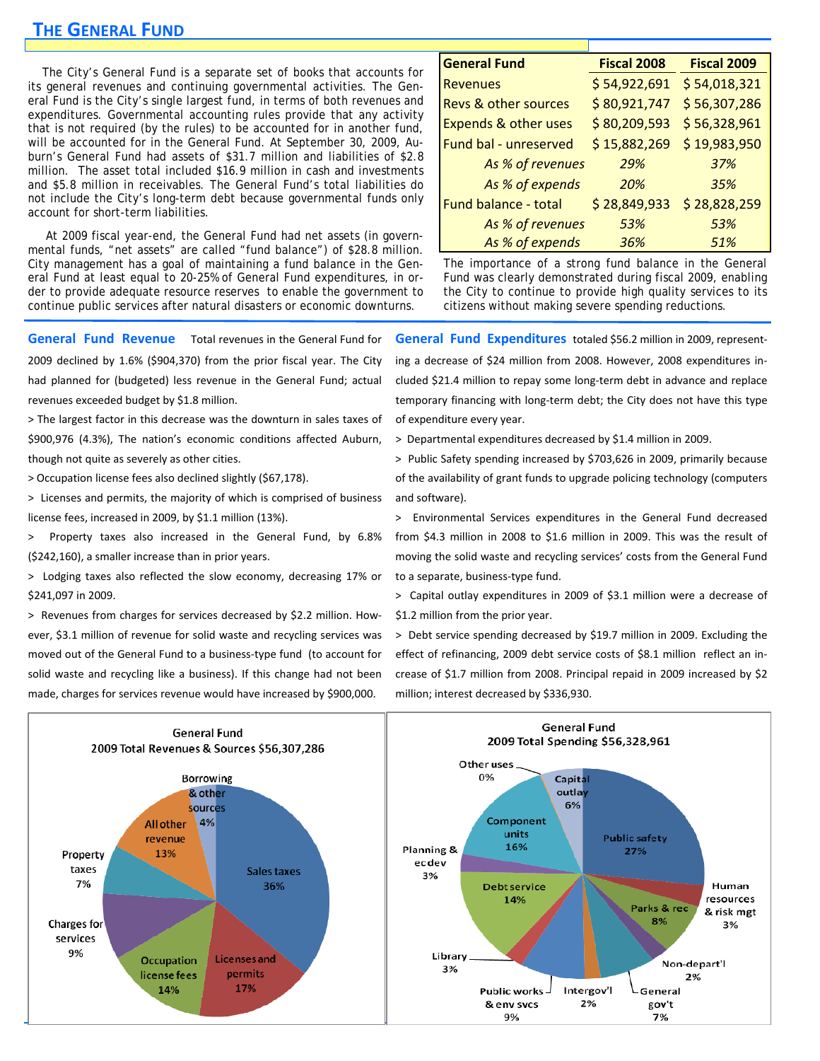### **THE GENERAL FUND**

 The City's General Fund is a separate set of books that accounts for its general revenues and continuing governmental activities. The General Fund is the City's single largest fund, in terms of both revenues and expenditures. Governmental accounting rules provide that any activity that is not required (by the rules) to be accounted for in another fund, will be accounted for in the General Fund. At September 30, 2009, Auburn's General Fund had assets of \$31.7 million and liabilities of \$2.8 million. The asset total included \$16.9 million in cash and investments and \$5.8 million in receivables. The General Fund's total liabilities do not include the City's long-term debt because governmental funds only account for short-term liabilities.

 At 2009 fiscal year-end, the General Fund had net assets (in governmental funds, "net assets" are called "fund balance") of \$28.8 million. City management has a goal of maintaining a fund balance in the General Fund at least equal to 20-25% of General Fund expenditures, in order to provide adequate resource reserves to enable the government to continue public services after natural disasters or economic downturns.

**General Fund Revenue**  Total revenues in the General Fund for 2009 declined by 1.6% (\$904,370) from the prior fiscal year. The City had planned for (budgeted) less revenue in the General Fund; actual

revenues exceeded budget by \$1.8 million.

> The largest factor in this decrease was the downturn in sales taxes of \$900,976 (4.3%), The nation's economic conditions affected Auburn, though not quite as severely as other cities.

> Occupation license fees also declined slightly (\$67,178).

> Licenses and permits, the majority of which is comprised of business license fees, increased in 2009, by \$1.1 million (13%).

> Property taxes also increased in the General Fund, by 6.8% (\$242,160), a smaller increase than in prior years.

> Lodging taxes also reflected the slow economy, decreasing 17% or \$241,097 in 2009.

> Revenues from charges for services decreased by \$2.2 million. How‐ ever, \$3.1 million of revenue for solid waste and recycling services was moved out of the General Fund to a business‐type fund (to account for solid waste and recycling like a business). If this change had not been made, charges for services revenue would have increased by \$900,000.

| <b>General Fund</b>             | <b>Fiscal 2008</b> | Fiscal 2009  |
|---------------------------------|--------------------|--------------|
| <b>Revenues</b>                 | \$54,922,691       | \$54,018,321 |
| <b>Revs &amp; other sources</b> | \$80,921,747       | \$56,307,286 |
| <b>Expends &amp; other uses</b> | \$80,209,593       | \$56,328,961 |
| Fund bal - unreserved           | \$15,882,269       | \$19,983,950 |
| As % of revenues                | 29%                | 37%          |
| As % of expends                 | 20%                | 35%          |
| Fund balance - total            | \$28,849,933       | \$28,828,259 |
| As % of revenues                | 53%                | 53%          |
| As % of expends                 | 36%                | 51%          |

The importance of a strong fund balance in the General Fund was clearly demonstrated during fiscal 2009, enabling the City to continue to provide high quality services to its citizens without making severe spending reductions.

**General Fund Expenditures** totaled \$56.2 million in 2009, represent‐ ing a decrease of \$24 million from 2008. However, 2008 expenditures in‐ cluded \$21.4 million to repay some long‐term debt in advance and replace temporary financing with long‐term debt; the City does not have this type of expenditure every year.

> Departmental expenditures decreased by \$1.4 million in 2009.

> Public Safety spending increased by \$703,626 in 2009, primarily because of the availability of grant funds to upgrade policing technology (computers and software).

> Environmental Services expenditures in the General Fund decreased from \$4.3 million in 2008 to \$1.6 million in 2009. This was the result of moving the solid waste and recycling services' costs from the General Fund to a separate, business‐type fund.

> Capital outlay expenditures in 2009 of \$3.1 million were a decrease of \$1.2 million from the prior year.

> Debt service spending decreased by \$19.7 million in 2009. Excluding the effect of refinancing, 2009 debt service costs of \$8.1 million reflect an in‐ crease of \$1.7 million from 2008. Principal repaid in 2009 increased by \$2 million; interest decreased by \$336,930.